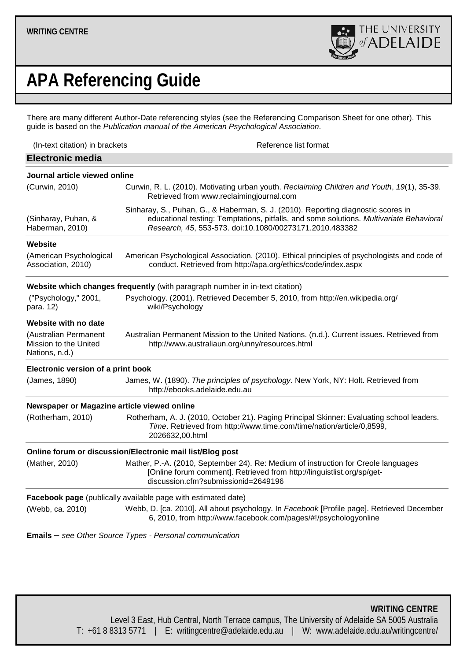

# **APA Referencing Guide**

There are many different Author-Date referencing styles (see the [Referencing Comparison Sheet](http://www.adelaide.edu.au/clpd/all/referencing_guides/) for one other). This guide is based on the *[Publication manual of the American Psychological Association](http://library.adelaide.edu.au/cgi-bin/Pwebrecon.cgi?BBID=1383097)*.

<span id="page-0-2"></span><span id="page-0-0"></span>

| (In-text citation) in brackets<br>Reference list format                                                                                                                                                                                 |
|-----------------------------------------------------------------------------------------------------------------------------------------------------------------------------------------------------------------------------------------|
|                                                                                                                                                                                                                                         |
| Journal article viewed online                                                                                                                                                                                                           |
| Curwin, R. L. (2010). Motivating urban youth. Reclaiming Children and Youth, 19(1), 35-39.<br>Retrieved from www.reclaimingjournal.com                                                                                                  |
| Sinharay, S., Puhan, G., & Haberman, S. J. (2010). Reporting diagnostic scores in<br>educational testing: Temptations, pitfalls, and some solutions. Multivariate Behavioral<br>Research, 45, 553-573. doi:10.1080/00273171.2010.483382 |
|                                                                                                                                                                                                                                         |
| American Psychological Association. (2010). Ethical principles of psychologists and code of<br>conduct. Retrieved from http://apa.org/ethics/code/index.aspx                                                                            |
| Website which changes frequently (with paragraph number in in-text citation)                                                                                                                                                            |
| Psychology. (2001). Retrieved December 5, 2010, from http://en.wikipedia.org/<br>wiki/Psychology                                                                                                                                        |
|                                                                                                                                                                                                                                         |
| Australian Permanent Mission to the United Nations. (n.d.). Current issues. Retrieved from<br>http://www.australiaun.org/unny/resources.html                                                                                            |
| Electronic version of a print book                                                                                                                                                                                                      |
| James, W. (1890). The principles of psychology. New York, NY: Holt. Retrieved from<br>http://ebooks.adelaide.edu.au                                                                                                                     |
| Newspaper or Magazine article viewed online                                                                                                                                                                                             |
| Rotherham, A. J. (2010, October 21). Paging Principal Skinner: Evaluating school leaders.<br>Time. Retrieved from http://www.time.com/time/nation/article/0,8599,<br>2026632,00.html                                                    |
| Online forum or discussion/Electronic mail list/Blog post                                                                                                                                                                               |
| Mather, P.-A. (2010, September 24). Re: Medium of instruction for Creole languages<br>[Online forum comment]. Retrieved from http://linguistlist.org/sp/get-<br>discussion.cfm?submissionid=2649196                                     |
| Facebook page (publically available page with estimated date)                                                                                                                                                                           |
| Webb, D. [ca. 2010]. All about psychology. In Facebook [Profile page]. Retrieved December<br>6, 2010, from http://www.facebook.com/pages/#!/psychologyonline                                                                            |
|                                                                                                                                                                                                                                         |

<span id="page-0-4"></span><span id="page-0-3"></span><span id="page-0-1"></span>**Emails** – *see Other Source Types - [Personal communication](#page-2-0)*

**WRITING CENTRE** Level 3 East, Hub Central, North Terrace campus, The University of Adelaide SA 5005 Australia T: +61 8 8313 5771 | E: writingcentre@adelaide.edu.au | W: www.adelaide.edu.au/writingcentre/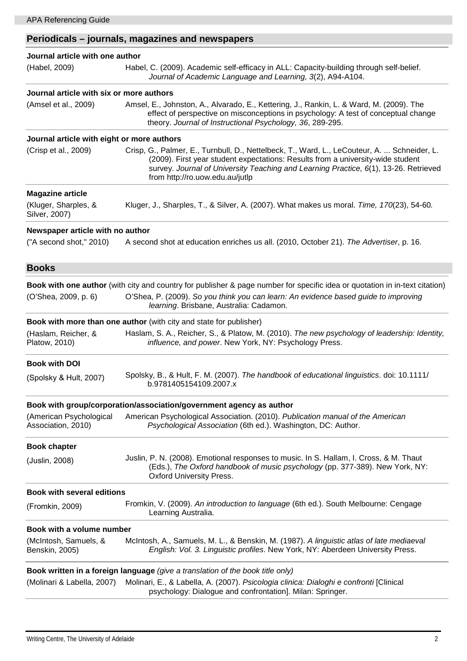# **Periodicals – journals, magazines and newspapers**

<span id="page-1-6"></span><span id="page-1-5"></span><span id="page-1-4"></span><span id="page-1-3"></span><span id="page-1-2"></span><span id="page-1-1"></span><span id="page-1-0"></span>

| Journal article with one author               |                                                                                                                                                                                                                                                                                                           |
|-----------------------------------------------|-----------------------------------------------------------------------------------------------------------------------------------------------------------------------------------------------------------------------------------------------------------------------------------------------------------|
| (Habel, 2009)                                 | Habel, C. (2009). Academic self-efficacy in ALL: Capacity-building through self-belief.<br>Journal of Academic Language and Learning, 3(2), A94-A104.                                                                                                                                                     |
| Journal article with six or more authors      |                                                                                                                                                                                                                                                                                                           |
| (Amsel et al., 2009)                          | Amsel, E., Johnston, A., Alvarado, E., Kettering, J., Rankin, L. & Ward, M. (2009). The<br>effect of perspective on misconceptions in psychology: A test of conceptual change<br>theory. Journal of Instructional Psychology, 36, 289-295.                                                                |
| Journal article with eight or more authors    |                                                                                                                                                                                                                                                                                                           |
| (Crisp et al., 2009)                          | Crisp, G., Palmer, E., Turnbull, D., Nettelbeck, T., Ward, L., LeCouteur, A.  Schneider, L.<br>(2009). First year student expectations: Results from a university-wide student<br>survey. Journal of University Teaching and Learning Practice, 6(1), 13-26. Retrieved<br>from http://ro.uow.edu.au/jutlp |
| <b>Magazine article</b>                       |                                                                                                                                                                                                                                                                                                           |
| (Kluger, Sharples, &<br>Silver, 2007)         | Kluger, J., Sharples, T., & Silver, A. (2007). What makes us moral. Time, 170(23), 54-60.                                                                                                                                                                                                                 |
| Newspaper article with no author              |                                                                                                                                                                                                                                                                                                           |
| ("A second shot," 2010)                       | A second shot at education enriches us all. (2010, October 21). The Advertiser, p. 16.                                                                                                                                                                                                                    |
| <b>Books</b>                                  |                                                                                                                                                                                                                                                                                                           |
|                                               | Book with one author (with city and country for publisher & page number for specific idea or quotation in in-text citation)                                                                                                                                                                               |
| (O'Shea, 2009, p. 6)                          | O'Shea, P. (2009). So you think you can learn: An evidence based guide to improving<br>learning. Brisbane, Australia: Cadamon.                                                                                                                                                                            |
|                                               | <b>Book with more than one author</b> (with city and state for publisher)                                                                                                                                                                                                                                 |
| (Haslam, Reicher, &<br>Platow, 2010)          | Haslam, S. A., Reicher, S., & Platow, M. (2010). The new psychology of leadership: Identity,<br>influence, and power. New York, NY: Psychology Press.                                                                                                                                                     |
| <b>Book with DOI</b>                          |                                                                                                                                                                                                                                                                                                           |
| (Spolsky & Hult, 2007)                        | Spolsky, B., & Hult, F. M. (2007). The handbook of educational linguistics. doi: 10.1111/<br>b.9781405154109.2007.x                                                                                                                                                                                       |
|                                               | Book with group/corporation/association/government agency as author                                                                                                                                                                                                                                       |
| (American Psychological<br>Association, 2010) | American Psychological Association. (2010). Publication manual of the American<br>Psychological Association (6th ed.). Washington, DC: Author.                                                                                                                                                            |
| <b>Book chapter</b>                           |                                                                                                                                                                                                                                                                                                           |
| (Juslin, 2008)                                | Juslin, P. N. (2008). Emotional responses to music. In S. Hallam, I. Cross, & M. Thaut<br>(Eds.), The Oxford handbook of music psychology (pp. 377-389). New York, NY:<br><b>Oxford University Press.</b>                                                                                                 |
| <b>Book with several editions</b>             |                                                                                                                                                                                                                                                                                                           |
| (Fromkin, 2009)                               | Fromkin, V. (2009). An introduction to language (6th ed.). South Melbourne: Cengage<br>Learning Australia.                                                                                                                                                                                                |
| Book with a volume number                     |                                                                                                                                                                                                                                                                                                           |
| (McIntosh, Samuels, &<br>Benskin, 2005)       | McIntosh, A., Samuels, M. L., & Benskin, M. (1987). A linguistic atlas of late mediaeval<br>English: Vol. 3. Linguistic profiles. New York, NY: Aberdeen University Press.                                                                                                                                |
|                                               | Book written in a foreign language (give a translation of the book title only)                                                                                                                                                                                                                            |
| (Molinari & Labella, 2007)                    | Molinari, E., & Labella, A. (2007). Psicologia clinica: Dialoghi e confronti [Clinical<br>psychology: Dialogue and confrontation]. Milan: Springer.                                                                                                                                                       |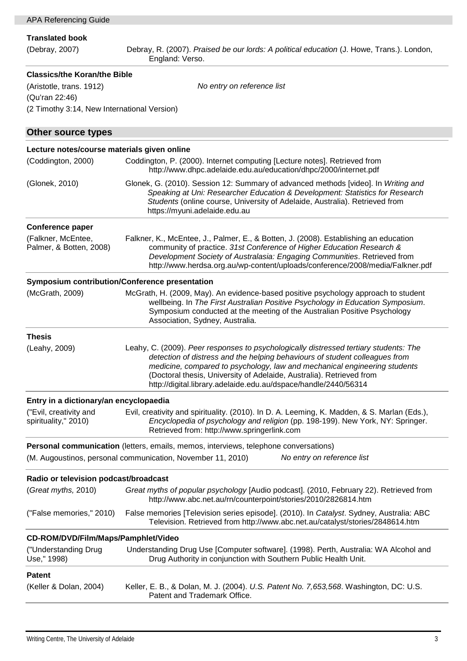<span id="page-2-0"></span>

| APA Referencing Guide                                                                |                                                                                                                                                                          |  |
|--------------------------------------------------------------------------------------|--------------------------------------------------------------------------------------------------------------------------------------------------------------------------|--|
|                                                                                      |                                                                                                                                                                          |  |
| <b>Translated book</b>                                                               |                                                                                                                                                                          |  |
| (Debray, 2007)                                                                       | Debray, R. (2007). Praised be our lords: A political education (J. Howe, Trans.). London,<br>England: Verso.                                                             |  |
|                                                                                      |                                                                                                                                                                          |  |
| <b>Classics/the Koran/the Bible</b>                                                  |                                                                                                                                                                          |  |
| (Aristotle, trans. 1912)                                                             | No entry on reference list                                                                                                                                               |  |
| (Qu'ran 22:46)                                                                       |                                                                                                                                                                          |  |
| (2 Timothy 3:14, New International Version)                                          |                                                                                                                                                                          |  |
|                                                                                      |                                                                                                                                                                          |  |
| <b>Other source types</b>                                                            |                                                                                                                                                                          |  |
| Lecture notes/course materials given online                                          |                                                                                                                                                                          |  |
| (Coddington, 2000)                                                                   | Coddington, P. (2000). Internet computing [Lecture notes]. Retrieved from                                                                                                |  |
|                                                                                      | http://www.dhpc.adelaide.edu.au/education/dhpc/2000/internet.pdf                                                                                                         |  |
| (Glonek, 2010)                                                                       | Glonek, G. (2010). Session 12: Summary of advanced methods [video]. In Writing and                                                                                       |  |
|                                                                                      | Speaking at Uni: Researcher Education & Development: Statistics for Research                                                                                             |  |
|                                                                                      | Students (online course, University of Adelaide, Australia). Retrieved from                                                                                              |  |
|                                                                                      | https://myuni.adelaide.edu.au                                                                                                                                            |  |
| <b>Conference paper</b>                                                              |                                                                                                                                                                          |  |
| (Falkner, McEntee,                                                                   | Falkner, K., McEntee, J., Palmer, E., & Botten, J. (2008). Establishing an education                                                                                     |  |
| Palmer, & Botten, 2008)                                                              | community of practice. 31st Conference of Higher Education Research &                                                                                                    |  |
|                                                                                      | Development Society of Australasia: Engaging Communities. Retrieved from<br>http://www.herdsa.org.au/wp-content/uploads/conference/2008/media/Falkner.pdf                |  |
|                                                                                      |                                                                                                                                                                          |  |
| <b>Symposium contribution/Conference presentation</b>                                |                                                                                                                                                                          |  |
| (McGrath, 2009)                                                                      | McGrath, H. (2009, May). An evidence-based positive psychology approach to student<br>wellbeing. In The First Australian Positive Psychology in Education Symposium.     |  |
|                                                                                      | Symposium conducted at the meeting of the Australian Positive Psychology                                                                                                 |  |
|                                                                                      | Association, Sydney, Australia.                                                                                                                                          |  |
| <b>Thesis</b>                                                                        |                                                                                                                                                                          |  |
| (Leahy, 2009)                                                                        | Leahy, C. (2009). Peer responses to psychologically distressed tertiary students: The                                                                                    |  |
|                                                                                      | detection of distress and the helping behaviours of student colleagues from                                                                                              |  |
|                                                                                      | medicine, compared to psychology, law and mechanical engineering students                                                                                                |  |
|                                                                                      | (Doctoral thesis, University of Adelaide, Australia). Retrieved from                                                                                                     |  |
|                                                                                      | http://digital.library.adelaide.edu.au/dspace/handle/2440/56314                                                                                                          |  |
| Entry in a dictionary/an encyclopaedia                                               |                                                                                                                                                                          |  |
| ("Evil, creativity and                                                               | Evil, creativity and spirituality. (2010). In D. A. Leeming, K. Madden, & S. Marlan (Eds.),                                                                              |  |
| spirituality," 2010)                                                                 | Encyclopedia of psychology and religion (pp. 198-199). New York, NY: Springer.                                                                                           |  |
|                                                                                      | Retrieved from: http://www.springerlink.com                                                                                                                              |  |
| Personal communication (letters, emails, memos, interviews, telephone conversations) |                                                                                                                                                                          |  |
|                                                                                      | (M. Augoustinos, personal communication, November 11, 2010)<br>No entry on reference list                                                                                |  |
|                                                                                      |                                                                                                                                                                          |  |
| Radio or television podcast/broadcast                                                |                                                                                                                                                                          |  |
| (Great myths, 2010)                                                                  | Great myths of popular psychology [Audio podcast]. (2010, February 22). Retrieved from<br>http://www.abc.net.au/rn/counterpoint/stories/2010/2826814.htm                 |  |
|                                                                                      |                                                                                                                                                                          |  |
| ("False memories," 2010)                                                             | False memories [Television series episode]. (2010). In Catalyst. Sydney, Australia: ABC<br>Television. Retrieved from http://www.abc.net.au/catalyst/stories/2848614.htm |  |
|                                                                                      |                                                                                                                                                                          |  |
| CD-ROM/DVD/Film/Maps/Pamphlet/Video                                                  |                                                                                                                                                                          |  |
| ("Understanding Drug                                                                 | Understanding Drug Use [Computer software]. (1998). Perth, Australia: WA Alcohol and                                                                                     |  |
| Use," 1998)                                                                          | Drug Authority in conjunction with Southern Public Health Unit.                                                                                                          |  |
| <b>Patent</b>                                                                        |                                                                                                                                                                          |  |
| (Keller & Dolan, 2004)                                                               | Keller, E. B., & Dolan, M. J. (2004). U.S. Patent No. 7,653,568. Washington, DC: U.S.                                                                                    |  |
|                                                                                      | Patent and Trademark Office.                                                                                                                                             |  |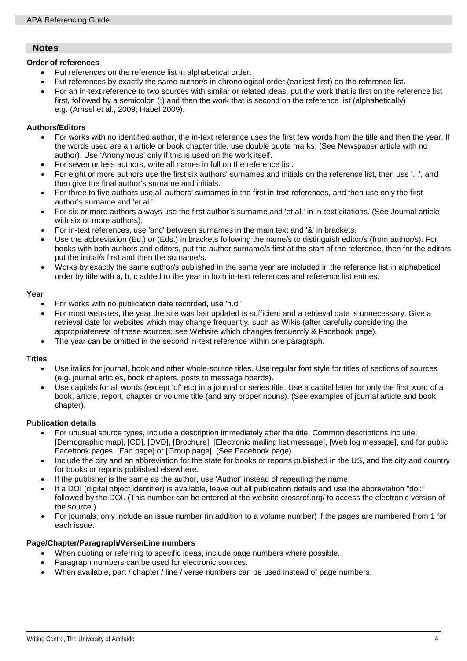# **Notes**

## **Order of references**

- Put references on the reference list in alphabetical order.
- Put references by exactly the same author/s in chronological order (earliest first) on the reference list.
- For an in-text reference to two sources with similar or related ideas, put the work that is first on the reference list first, followed by a semicolon (;) and then the work that is second on the reference list (alphabetically) e.g. (Amsel et al., 2009; Habel 2009).

# **Authors/Editors**

- For works with [no identified author,](#page-1-0) the in-text reference uses the first few words from the title and then the year. If the words used are an article or book chapter title, use double quote marks. (See [Newspaper article with no](#page-1-0)  [author\)](#page-1-0). Use 'Anonymous' only if this is used on the work itself.
- For seven or less authors, write all names in full on the reference list.
- For eight or more authors use the first six authors' surnames and initials on the reference list, then use '...', and then give the final author's surname and initials.
- [For three to five authors](#page-1-1) use all authors' surnames in the first in-text references, and then use only the first author's surname and 'et al.'
- For six or more authors always use the first author's surname and 'et al.' in in-text citations. (See [Journal article](#page-1-2)  [with six or more authors\)](#page-1-2).
- For in-text references, use 'and' between surnames in the main text and '&' in brackets.
- Use the abbreviation (Ed.) or (Eds.) in brackets following the name/s to distinguish editor/s (from author/s). For books with both authors and editors, put the author surname/s first at the start of the reference, then for the editors put the initial/s first and then the surname/s.
- Works by exactly the same author/s published in the same year are included in the reference list in alphabetical order by title with a, b, c added to the year in both in-text references and reference list entries.

## **Year**

- For works with [no publication date](#page-0-0) recorded, use 'n.d.'
- For most websites, the year the site was last updated is sufficient and a retrieval date is unnecessary. Give a retrieval date for websites which may change frequently, such as Wikis (after carefully considering the appropriateness of these sources; see Website which changes frequently & [Facebook page\)](#page-0-1).
- The year can be omitted in the second in-text reference within one paragraph.

# **Titles**

- Use italics for journal, book and other whole-source titles. Use regular font style for titles of sections of sources (e.g. journal articles, book chapters, posts to message boards).
- Use capitals for all words (except 'of' etc) in a journal or series title. Use a capital letter for only the first word of a book, article, report, chapter or volume title (and any proper nouns). (See examples of [journal article](#page-1-3) and [book](#page-1-4)  [chapter\)](#page-1-4).

#### **Publication details**

- For unusual source types, include a description immediately after the title. Common descriptions include: [Demographic map], [CD], [DVD], [Brochure], [Electronic mailing list message], [Web log message], and for public Facebook pages, [Fan page] or [Group page]. (See [Facebook page\)](#page-0-1).
- Include the [city and an abbreviation for the state](#page-1-1) for books or reports published in the US, and the [city and country](#page-1-5) for books or reports published elsewhere.
- If the publisher is the same as the author, use 'Author' instead of repeating the name.
- If a DOI (digital object identifier) is available, leave out all publication details and use the abbreviation "doi:" followed by the DOI. (This number can be entered at the website [crossref.org/](http://crossref.org/) to access the electronic version of the source.)
- For journals, only include an issue number (in addition to a volume number) if the pages are numbered from 1 for each issue.

# **Page/Chapter/Paragraph/Verse/Line numbers**

- When quoting or referring to specific ideas, [include page numbers](#page-1-6) where possible.
- Paragraph numbers can be used for electronic sources.
- When available, part / chapter / line / verse numbers can be used instead of page numbers.